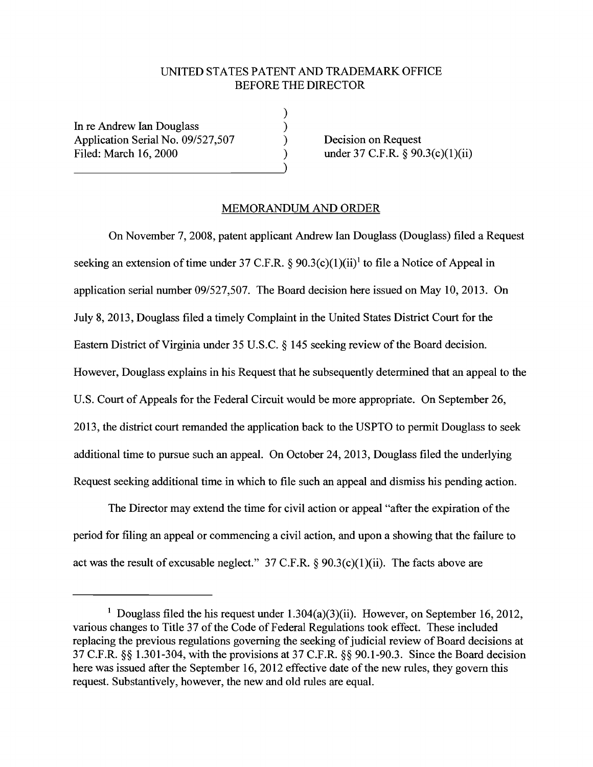## UNITED STATES PATENT AND TRADEMARK OFFICE BEFORE THE DIRECTOR

)

)

In re Andrew Ian Douglass ) Application Serial No. 09/527,507 (a) Decision on Request Filed: March 16, 2000 ) under 37 C.F.R. § 90.3(c)(1)(ii)

## MEMORANDUM AND ORDER

On November 7, 2008, patent applicant Andrew Ian Douglass (Douglass) filed a Request seeking an extension of time under 37 C.F.R.  $\S 90.3(c)(1)(ii)^{1}$  to file a Notice of Appeal in application serial number 09/527,507. The Board decision here issued on May 10,2013. On July 8,2013, Douglass filed a timely Complaint in the United States District Court for the Eastern District of Virginia under 35 U.S.C. § 145 seeking review of the Board decision. However, Douglass explains in his Request that he subsequently determined that an appeal to the U.S. Court of Appeals for the Federal Circuit would be more appropriate. On September 26, 2013, the district court remanded the application back to the USPTO to permit Douglass to seek additional time to pursue such an appeal. On October 24, 2013, Douglass filed the underlying Request seeking additional time in which to file such an appeal and dismiss his pending action.

The Director may extend the time for civil action or appeal "after the expiration of the period for filing an appeal or commencing a civil action, and upon a showing that the failure to act was the result of excusable neglect." 37 C.F.R.  $\S$  90.3(c)(1)(ii). The facts above are

<sup>&</sup>lt;sup>1</sup> Douglass filed the his request under  $1.304(a)(3)(ii)$ . However, on September 16, 2012, various changes to Title 37 of the Code of Federal Regulations took effect. These included replacing the previous regulations governing the seeking of judicial review of Board decisions at 37 C.F.R. §§ 1.301-304, with the provisions at 37 C.F.R. §§ 90.1-90.3. Since the Board decision here was issued after the September  $16$ ,  $2012$  effective date of the new rules, they govern this request. Substantively, however, the new and old rules are equal.